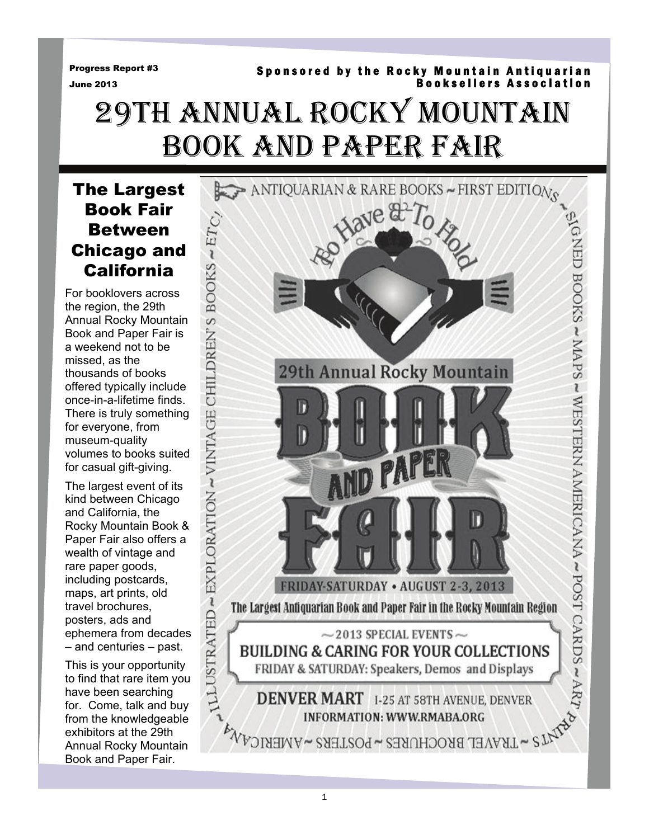Progress Report #3

#### June 2013

# Booksellers Association 29TH ANNUAL ROCKY MOUNTAIN BOOK AND PAPER FAIR

Sponsored by the Rocky Mountain Antiquarian

The Largest Book Fair Between Chicago and California

For booklovers across the region, the 29th Annual Rocky Mountain Book and Paper Fair is a weekend not to be missed, as the thousands of books offered typically include once-in-a-lifetime finds. There is truly something for everyone, from museum-quality volumes to books suited for casual gift-giving.

The largest event of its kind between Chicago and California, the Rocky Mountain Book & Paper Fair also offers a wealth of vintage and rare paper goods, including postcards, maps, art prints, old travel brochures, posters, ads and ephemera from decades – and centuries – past.

This is your opportunity to find that rare item you have been searching for. Come, talk and buy from the knowledgeable exhibitors at the 29th Annual Rocky Mountain Book and Paper Fair.

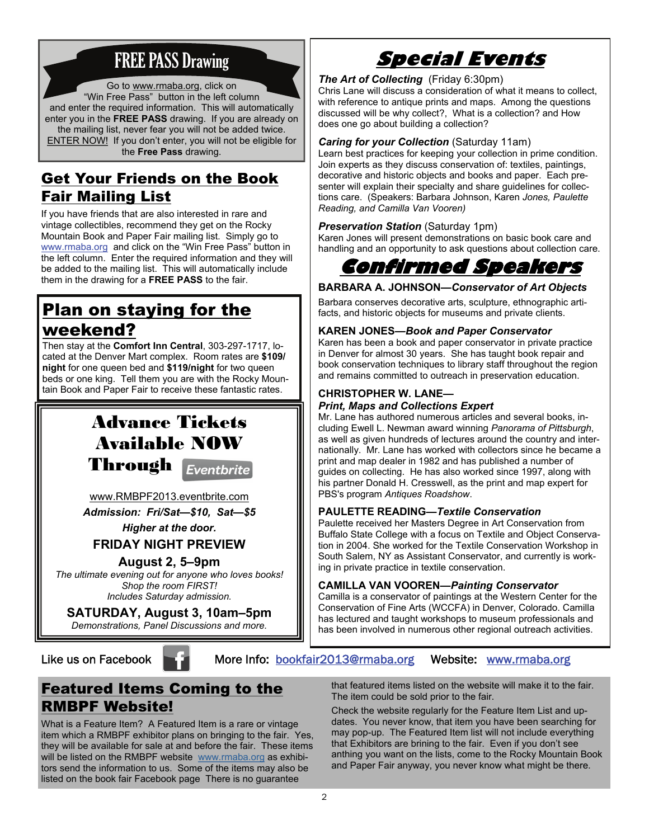# FREE PASS Drawing

Go to www.rmaba.org, click on "Win Free Pass" button in the left column and enter the required information. This will automatically enter you in the **FREE PASS** drawing. If you are already on the mailing list, never fear you will not be added twice. ENTER NOW! If you don't enter, you will not be eligible for the **Free Pass** drawing.

# Get Your Friends on the Book Fair Mailing List

If you have friends that are also interested in rare and vintage collectibles, recommend they get on the Rocky Mountain Book and Paper Fair mailing list. Simply go to www.rmaba.org and click on the "Win Free Pass" button in the left column. Enter the required information and they will be added to the mailing list. This will automatically include them in the drawing for a **FREE PASS** to the fair.

# Plan on staying for the

## weekend?

Then stay at the **Comfort Inn Central**, 303-297-1717, located at the Denver Mart complex. Room rates are **\$109/ night** for one queen bed and **\$119/night** for two queen beds or one king. Tell them you are with the Rocky Mountain Book and Paper Fair to receive these fantastic rates.

# Advance Tickets Available NOW Through Eventbrite

[www.RMBPF2013.eventbrite.com](http://www.rmbpf2013.eventbrite.com)

*Admission: Fri/Sat—\$10, Sat—\$5 Higher at the door.* 

**FRIDAY NIGHT PREVIEW** 

## **August 2, 5–9pm**

*The ultimate evening out for anyone who loves books! Shop the room FIRST! Includes Saturday admission.* 

**SATURDAY, August 3, 10am–5pm**  *Demonstrations, Panel Discussions and more.*

# **Special Events**

#### *The Art of Collecting* (Friday 6:30pm)

Chris Lane will discuss a consideration of what it means to collect, with reference to antique prints and maps. Among the questions discussed will be why collect?, What is a collection? and How does one go about building a collection?

#### *Caring for your Collection* (Saturday 11am)

Learn best practices for keeping your collection in prime condition. Join experts as they discuss conservation of: textiles, paintings, decorative and historic objects and books and paper. Each presenter will explain their specialty and share guidelines for collections care. (Speakers: Barbara Johnson, Karen *Jones, Paulette Reading, and Camilla Van Vooren)* 

#### *Preservation Station* (Saturday 1pm)

Karen Jones will present demonstrations on basic book care and handling and an opportunity to ask questions about collection care.



### **BARBARA A. JOHNSON—***Conservator of Art Objects*

Barbara conserves decorative arts, sculpture, ethnographic artifacts, and historic objects for museums and private clients.

#### **KAREN JONES—***Book and Paper Conservator*

Karen has been a book and paper conservator in private practice in Denver for almost 30 years. She has taught book repair and book conservation techniques to library staff throughout the region and remains committed to outreach in preservation education.

#### **CHRISTOPHER W. LANE—**

#### *Print, Maps and Collections Expert*

Mr. Lane has authored numerous articles and several books, including Ewell L. Newman award winning *Panorama of Pittsburgh*, as well as given hundreds of lectures around the country and internationally. Mr. Lane has worked with collectors since he became a print and map dealer in 1982 and has published a number of guides on collecting. He has also worked since 1997, along with his partner Donald H. Cresswell, as the print and map expert for PBS's program *Antiques Roadshow*.

#### **PAULETTE READING—***Textile Conservation*

Paulette received her Masters Degree in Art Conservation from Buffalo State College with a focus on Textile and Object Conservation in 2004. She worked for the Textile Conservation Workshop in South Salem, NY as Assistant Conservator, and currently is working in private practice in textile conservation.

#### **CAMILLA VAN VOOREN—***Painting Conservator*

Camilla is a conservator of paintings at the Western Center for the Conservation of Fine Arts (WCCFA) in Denver, Colorado. Camilla has lectured and taught workshops to museum professionals and has been involved in numerous other regional outreach activities.

Like us on Facebook **More Info:** bookfair2013@rmaba.org Website: www.rmaba.org

# Featured Items Coming to the RMBPF Website!

What is a Feature Item? A Featured Item is a rare or vintage item which a RMBPF exhibitor plans on bringing to the fair. Yes, they will be available for sale at and before the fair. These items will be listed on the RMBPF website [www.rmaba.org](http://www.rmaba.org) as exhibitors send the information to us. Some of the items may also be listed on the book fair Facebook page There is no guarantee

that featured items listed on the website will make it to the fair. The item could be sold prior to the fair.

Check the website regularly for the Feature Item List and updates. You never know, that item you have been searching for may pop-up. The Featured Item list will not include everything that Exhibitors are brining to the fair. Even if you don't see anthing you want on the lists, come to the Rocky Mountain Book and Paper Fair anyway, you never know what might be there.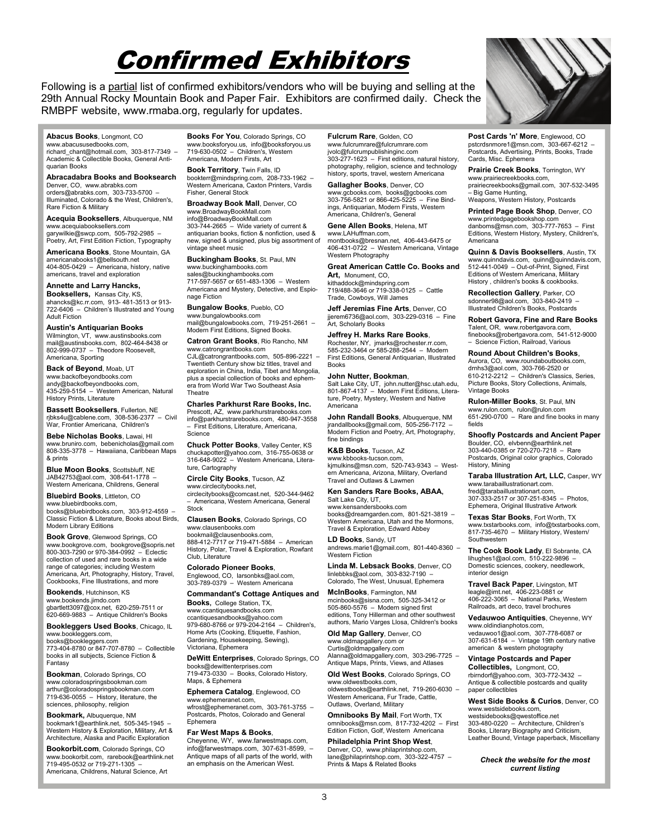# Confirmed Exhibitors

Following is a partial list of confirmed exhibitors/vendors who will be buying and selling at the 29th Annual Rocky Mountain Book and Paper Fair. Exhibitors are confirmed daily. Check the RMBPF website, www.rmaba.org, regularly for updates.

#### **Abacus Books**, Longmont, CO

www.abacususedbooks.com, richard\_chant@hotmail.com, 303-817-7349 – Academic & Collectible Books, General Antiquarian Books

#### **Abracadabra Books and Booksearch**  Denver, CO, www.abrabks.com

orders@abrabks.com, 303-733-5700 – Illuminated, Colorado & the West, Children's, Rare Fiction & Military

**Acequia Booksellers**, Albuquerque, NM www.acequiabooksellers.com garywilkie@swcp.com, 505-792-2985 – Poetry, Art, First Edition Fiction, Typography

**Americana Books**, Stone Mountain, GA americanabooks1@bellsouth.net 404-805-0429 – Americana, history, native americans, travel and exploration

#### **Annette and Larry Hancks,**

**Booksellers,** Kansas City, KS, ahancks@kc.rr.com, 913- 481-3513 or 913- 722-6406 – Children's Illustrated and Young Adult Fiction

#### **Austin's Antiquarian Books**

Wilmington, VT, www.austinsbooks.com mail@austinsbooks.com, 802-464-8438 or 802-999-0737 – Theodore Roosevelt, Americana, Sporting

**Back of Beyond**, Moab, UT www.backofbeyondbooks.com andy@backofbeyondbooks.com, 435-259-5154 – Western American, Natural History Prints, Literature

**Bassett Booksellers**, Fullerton, NE rjbks4u@cablene.com, 308-536-2377 – Civil War, Frontier Americana, Children's

**Bebe Nicholas Books**, Lawai, HI www.bruniro.com, bebenicholas@gmail.com 808-335-3778 – Hawaiiana, Caribbean Maps & prints

**Blue Moon Books**, Scottsbluff, NE JAB42753@aol.com, 308-641-1778 – Western Americana, Childrens, General

**Bluebird Books**, Littleton, CO www.bluebirdbooks.com,

books@bluebirdbooks.com, 303-912-4559 – Classic Fiction & Literature, Books about Birds, Modern Library Editions

**Book Grove**, Glenwood Springs, CO www.bookgrove.com, bookgrove@sopris.net 800-303-7290 or 970-384-0992 – Eclectic collection of used and rare books in a wide range of categories; including Western Americana, Art, Photography, History, Travel, Cookbooks, Fine Illustrations, and more

**Bookends**, Hutchinson, KS www.bookends.jimdo.com gbartlett3097@cox.net, 620-259-7511 or 620-669-9883 – Antique Children's Books

**Bookleggers Used Books**, Chicago, IL www.bookleggers.com, books@bookleggers.com

773-404-8780 or 847-707-8780 – Collectible books in all subjects, Science Fiction & Fantasy

**Bookman**, Colorado Springs, CO www.coloradospringsbookman.com arthur@coloradospringsbookman.com 719-636-0055 – History, literature, the sciences, philosophy, religion

**Bookmark,** Albuquerque, NM bookmark1@earthlink.net, 505-345-1945 – Western History & Exploration, Military, Art & Architecture, Alaska and Pacific Exploration

**Bookorbit.com**, Colorado Springs, CO www.bookorbit.com, rarebook@earthlink.net 719-495-0532 or 719-271-1305 – Americana, Childrens, Natural Science, Art

**Books For You**, Colorado Springs, CO www.booksforyou.us, info@booksforyou.us 719-630-0502 – Children's, Western Americana, Modern Firsts, Art

**Book Territory**, Twin Falls, ID bookterr@mindspring.com, 208-733-1962 – Western Americana, Caxton Printers, Vardis Fisher, General Stock

**Broadway Book Mall**, Denver, CO www.BroadwayBookMall.com info@BroadwayBookMall.com 303-744-2665 – Wide variety of current & antiquarian books, fiction & nonfiction, used & new, signed & unsigned, plus big assortment of vintage sheet music

**Buckingham Books**, St. Paul, MN www.buckinghambooks.com sales@buckinghambooks.com 717-597-5657 or 651-483-1306 – Western Americana and Mystery, Detective, and Espionage Fiction

**Bungalow Books**, Pueblo, CO www.bungalowbooks.com mail@bungalowbooks.com, 719-251-2661 – Modern First Editions, Signed Books.

**Catron Grant Books**, Rio Rancho, NM www.catrongrantbooks.com

CJL@catrongrantbooks.com, 505-896-2221 – Twentieth Century show biz titles, travel and exploration in China, India, Tibet and Mongolia, plus a special collection of books and ephemera from World War Two Southeast Asia **Theatre** 

#### **Charles Parkhurst Rare Books, Inc.**

Prescott, AZ, www.parkhurstrarebooks.com info@parkhurstrarebooks.com, 480-947-3558 – First Editions, Literature, Americana, **Science** 

**Chuck Potter Books**, Valley Center, KS chuckapotter@yahoo.com, 316-755-0638 or 316-648-9022 – Western Americana, Literature, Cartography

**Circle City Books**, Tucson, AZ www.circlecitybooks.net,

circlecitybooks@comcast.net, 520-344-9462 – Americana, Western Americana, General **Stock** 

**Clausen Books**, Colorado Springs, CO www.clausenbooks.com bookmail@clausenbooks.com,

888-412-7717 or 719-471-5884 – American History, Polar, Travel & Exploration, Rowfant Club, Literature

**Colorado Pioneer Books**, Englewood, CO, larsonbks@aol.com, 303-789-0379 – Western Americana

#### **Commandant's Cottage Antiques and Books,** College Station, TX,

www.ccantiquesandbooks.com ccantiquesandbooks@yahoo.com 979-680-8766 or 979-204-2164 – Children's, Home Arts (Cooking, Etiquette, Fashion, Gardening, Housekeeping, Sewing), Victoriana, Ephemera

**DeWitt Enterprises**, Colorado Springs, CO books@dewittenterprises.com 719-473-0330 – Books, Colorado History, Maps, & Ephemera

**Ephemera Catalog**, Englewood, CO www.ephemeranet.com, wfrost@ephemeranet.com, 303-761-3755 – Postcards, Photos, Colorado and General Ephemera

#### **Far West Maps & Books**,

Cheyenne, WY, www.farwestmaps.com, info@farwestmaps.com, 307-631-8599, – Antique maps of all parts of the world, with an emphasis on the American West.

**Fulcrum Rare**, Golden, CO www.fulcrumrare@fulcrumrare.com jvolc@fulcrumpublishinginc.com 303-277-1623 – First editions, natural history, photography, religion, science and technology history, sports, travel, western Americana

**Gallagher Books**, Denver, CO www.gcbooks.com, books@gcbooks.com 303-756-5821 or 866-425-5225 – Fine Bindings, Antiquarian, Modern Firsts, Western Americana, Children's, General

**Gene Allen Books**, Helena, MT www.LAHuffman.com montbooks@bresnan.net, 406-443-6475 or

406-431-0722 – Western Americana, Vintage Western Photography

**Great American Cattle Co. Books and Art,** Monument, CO,

kithaddock@mindspring.com 719/488-3646 or 719-338-0125 – Cattle Trade, Cowboys, Will James

**Jeff Jeremias Fine Arts**, Denver, CO jjerem6736@aol.com, 303-229-0316 – Fine Art, Scholarly Books

#### **Jeffrey H. Marks Rare Books**,

Rochester, NY, jmarks@rochester.rr.com, 585-232-3464 or 585-288-2544 – Modern First Editions, General Antiquarian, Illustrated Books

#### **John Nutter, Bookman**,

Salt Lake City, UT, john.nutter@hsc.utah.edu, 801-867-4137 – Modern First Editions, Literature, Poetry, Mystery, Western and Native Americana

**John Randall Books**, Albuquerque, NM jrandallbooks@gmail.com, 505-256-7172 – Modern Fiction and Poetry, Art, Photography, fine bindings

**K&B Books**, Tucson, AZ www.kbbooks-tucson.com, kjmulkins@msn.com, 520-743-9343 – Western Americana, Arizona, Military, Overland Travel and Outlaws & Lawmen

#### **Ken Sanders Rare Books, ABAA,** Salt Lake City, UT,

www.kensandersbooks.com books@dreamgarden.com, 801-521-3819 – Western Americana, Utah and the Mormons, Travel & Exploration, Edward Abbey

**LD Books**, Sandy, UT andrews.marie1@gmail.com, 801-440-8360 – Western Fiction

**Linda M. Lebsack Books**, Denver, CO linlebbks@aol.com, 303-832-7190 – Colorado, The West, Unusual, Ephemera

**McInBooks**, Farmington, NM mcinbooks@sisna.com, 505-325-3412 or 505-860-5576 – Modern signed first editions, Tony Hillerman and other southwest authors, Mario Varges Llosa, Children's books

**Old Map Gallery**, Denver, CO www.oldmapgallery.com or Curtis@oldmapgallery.com Alanna@oldmapgallery.com, 303-296-7725 – Antique Maps, Prints, Views, and Atlases

**Old West Books**, Colorado Springs, CO

www.oldwestbooks.com, oldwestbooks@earthlink.net, 719-260-6030 – Western Americana, Fur Trade, Cattle, Outlaws, Overland, Military

**Omnibooks By Mail**, Fort Worth, TX omnibooks@msn.com, 817-732-4202 – First Edition Fiction, Golf, Western Americana

#### **Philadelphia Print Shop West**,

Denver, CO, www.philaprintshop.com, lane@philaprintshop.com, 303-322-4757 – Prints & Maps & Related Books

**Post Cards 'n' More**, Englewood, CO pstcrdsnmore1@msn.com, 303-667-6212 – Postcards, Advertising, Prints, Books, Trade Cards, Misc. Ephemera

**Prairie Creek Books**, Torrington, WY www.prairiecreekbooks.com, prairiecreekbooks@gmail.com, 307-532-3495

– Big Game Hunting, Weapons, Western History, Postcards

**Printed Page Book Shop**, Denver, CO www.printedpagebookshop.com danboms@msn.com, 303-777-7653 – First Editions, Western History, Mystery, Children's, Americana

**Quinn & Davis Booksellers**, Austin, TX www.quinndavis.com, quinn@quinndavis.com,  $512-441-0049$  – Out-of-Print, Signed, First Editions of Western Americana, Military History , children's books & cookbooks.

**Recollection Gallery**, Parker, CO sdonner98@aol.com, 303-840-2419 – Illustrated Children's Books, Postcards

**Robert Gavora, Fine and Rare Books** Talent, OR, www.robertgavora.com, finebooks@robertgavora.com, 541-512-9000 – Science Fiction, Railroad, Various

**Round About Children's Books**,

Aurora, CO, www.roundaboutbooks.com, drnhs3@aol.com, 303-766-2520 or 610-212-2212 – Children's Classics, Series, Picture Books, Story Collections, Animals, Vintage Books

**Rulon-Miller Books**, St. Paul, MN www.rulon.com, rulon@rulon.com 651-290-0700 – Rare and fine books in many fields

**Shoofly Postcards and Ancient Paper**  Boulder, CO, elvbenn@earthlink.net 303-440-0385 or 720-270-7218 – Rare Postcards, Original color graphics, Colorado History, Mining

**Taraba Illustration Art, LLC,** Casper, WY www.tarabaillustrationart.com. fred@tarabaillustrationart.com 307-333-2517 or 307-251-8345 – Photos, Ephemera, Original Illustrative Artwork

**Texas Star Books**, Fort Worth, TX www.txstarbooks.com, info@txstarbooks.com, 817-735-4670 – Military History, Western/ Southwestern

**The Cook Book Lady**, El Sobrante, CA lihughes1@aol.com, 510-222-9896 – Domestic sciences, cookery, needlework, interior design

**Travel Back Paper**, Livingston, MT leagle@imt.net, 406-223-0881 or 406-222-3065 – National Parks, Western Railroads, art deco, travel brochures

**Vedauwoo Antiquities**, Cheyenne, WY www.oldindianphotos.com, vedauwoo1@aol.com, 307-778-6087 or 307-631-6184 – Vintage 19th century native american & western photography

#### **Vintage Postcards and Paper**

**Collectibles,** Longmont, CO, rbirndorf@yahoo.com, 303-772-3432 – Antique & collectible postcards and quality paper collectibles

**West Side Books & Curios**, Denver, CO www.westsidebooks.com

westsidebooks@qwestoffice.net 303-480-0220 – Architecture, Children's Books, Literary Biography and Criticism, Leather Bound, Vintage paperback, Miscellany

*Check the website for the most current listing* 

3